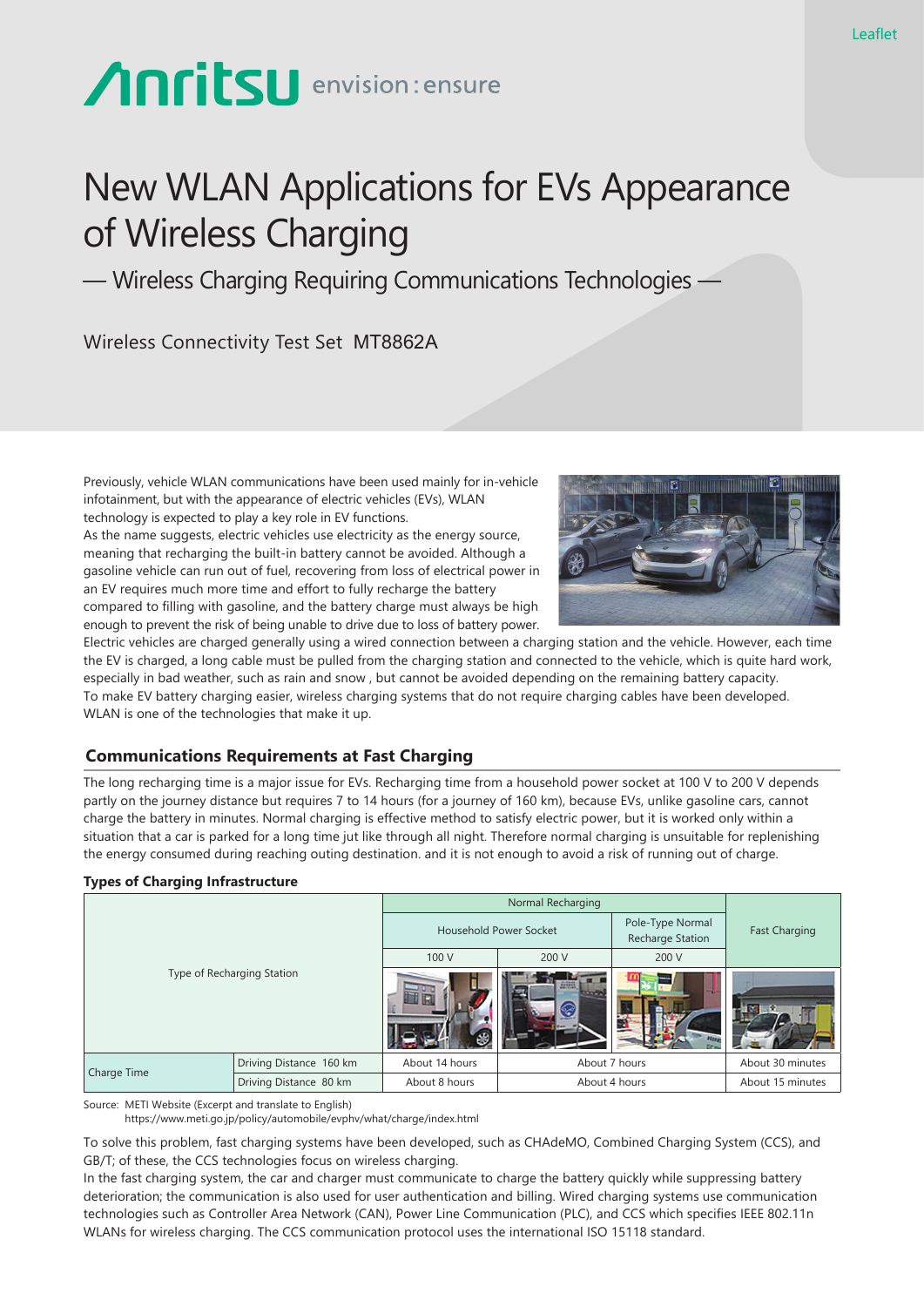# **Anritsu** envision: ensure

# New WLAN Applications for EVs Appearance of Wireless Charging

— Wireless Charging Requiring Communications Technologies —

Wireless Connectivity Test Set MT8862A

Previously, vehicle WLAN communications have been used mainly for in-vehicle infotainment, but with the appearance of electric vehicles (EVs), WLAN technology is expected to play a key role in EV functions. As the name suggests, electric vehicles use electricity as the energy source, meaning that recharging the built-in battery cannot be avoided. Although a gasoline vehicle can run out of fuel, recovering from loss of electrical power in an EV requires much more time and effort to fully recharge the battery compared to filling with gasoline, and the battery charge must always be high enough to prevent the risk of being unable to drive due to loss of battery power.



Electric vehicles are charged generally using a wired connection between a charging station and the vehicle. However, each time the EV is charged, a long cable must be pulled from the charging station and connected to the vehicle, which is quite hard work, especially in bad weather, such as rain and snow , but cannot be avoided depending on the remaining battery capacity. To make EV battery charging easier, wireless charging systems that do not require charging cables have been developed. WLAN is one of the technologies that make it up.

# **Communications Requirements at Fast Charging**

The long recharging time is a major issue for EVs. Recharging time from a household power socket at 100 V to 200 V depends partly on the journey distance but requires 7 to 14 hours (for a journey of 160 km), because EVs, unlike gasoline cars, cannot charge the battery in minutes. Normal charging is effective method to satisfy electric power, but it is worked only within a situation that a car is parked for a long time jut like through all night. Therefore normal charging is unsuitable for replenishing the energy consumed during reaching outing destination. and it is not enough to avoid a risk of running out of charge.

# **Types of Charging Infrastructure**

| Type of Recharging Station |                         | Normal Recharging             |               |                                      |                      |
|----------------------------|-------------------------|-------------------------------|---------------|--------------------------------------|----------------------|
|                            |                         | <b>Household Power Socket</b> |               | Pole-Type Normal<br>Recharge Station | <b>Fast Charging</b> |
|                            |                         | 100 V                         | 200 V         | 200 V                                |                      |
|                            |                         |                               |               | Ð                                    |                      |
| Charge Time                | Driving Distance 160 km | About 14 hours                |               | About 7 hours                        | About 30 minutes     |
|                            | Driving Distance 80 km  | About 8 hours                 | About 4 hours |                                      | About 15 minutes     |

Source: METI Website (Excerpt and translate to English)

https://www.meti.go.jp/policy/automobile/evphv/what/charge/index.html

To solve this problem, fast charging systems have been developed, such as CHAdeMO, Combined Charging System (CCS), and GB/T; of these, the CCS technologies focus on wireless charging.

In the fast charging system, the car and charger must communicate to charge the battery quickly while suppressing battery deterioration; the communication is also used for user authentication and billing. Wired charging systems use communication technologies such as Controller Area Network (CAN), Power Line Communication (PLC), and CCS which specifies IEEE 802.11n WLANs for wireless charging. The CCS communication protocol uses the international ISO 15118 standard.